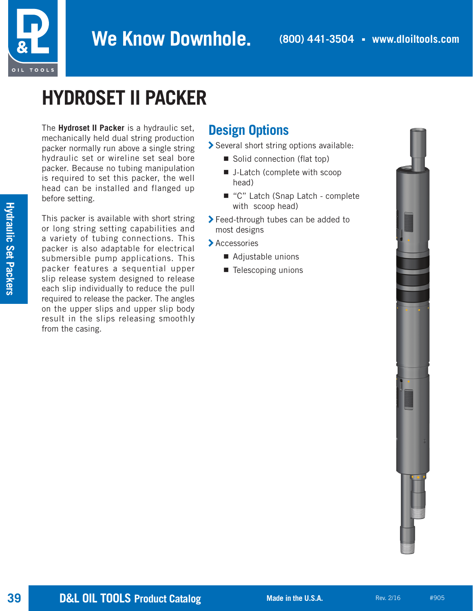

## **HYDROSET II PACKER**

The **Hydroset II Packer** is a hydraulic set, mechanically held dual string production packer normally run above a single string hydraulic set or wireline set seal bore packer. Because no tubing manipulation is required to set this packer, the well head can be installed and flanged up before setting.

This packer is available with short string or long string setting capabilities and a variety of tubing connections. This packer is also adaptable for electrical submersible pump applications. This packer features a sequential upper slip release system designed to release each slip individually to reduce the pull required to release the packer. The angles on the upper slips and upper slip body result in the slips releasing smoothly from the casing.

## **Design Options**

> Several short string options available:

- Solid connection (flat top)
- J-Latch (complete with scoop head)
- "C" Latch (Snap Latch complete with scoop head)
- > Feed-through tubes can be added to most designs
- > Accessories
	- Adjustable unions
	- Telescoping unions